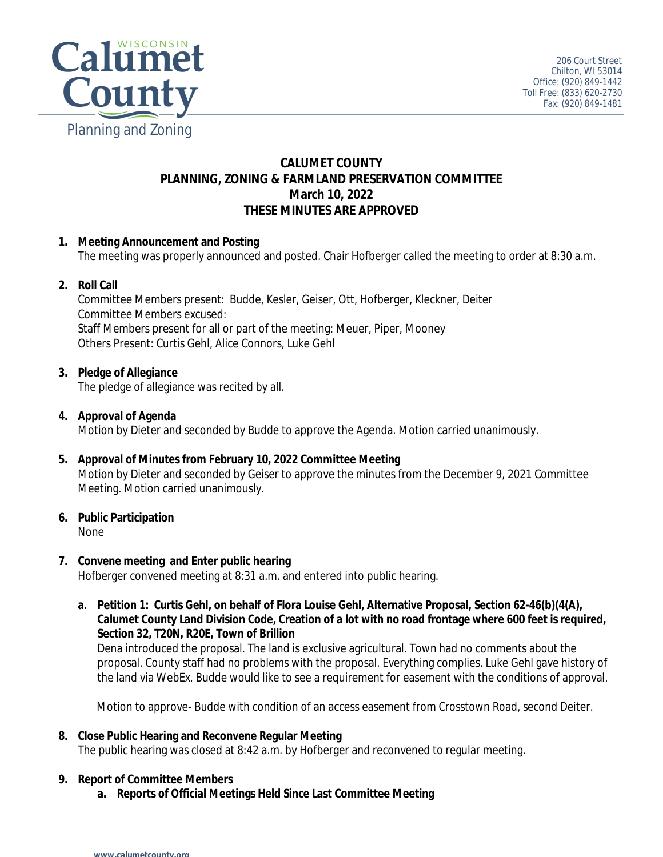

# **CALUMET COUNTY PLANNING, ZONING & FARMLAND PRESERVATION COMMITTEE March 10, 2022 THESE MINUTES ARE APPROVED**

## **1. Meeting Announcement and Posting**

The meeting was properly announced and posted. Chair Hofberger called the meeting to order at 8:30 a.m.

## **2. Roll Call**

Committee Members present: Budde, Kesler, Geiser, Ott, Hofberger, Kleckner, Deiter Committee Members excused: Staff Members present for all or part of the meeting: Meuer, Piper, Mooney Others Present: Curtis Gehl, Alice Connors, Luke Gehl

## **3. Pledge of Allegiance**

The pledge of allegiance was recited by all.

## **4. Approval of Agenda**

Motion by Dieter and seconded by Budde to approve the Agenda. Motion carried unanimously.

**5. Approval of Minutes from February 10, 2022 Committee Meeting** Motion by Dieter and seconded by Geiser to approve the minutes from the December 9, 2021 Committee Meeting. Motion carried unanimously.

## **6. Public Participation**

None

## **7. Convene meeting and Enter public hearing**

Hofberger convened meeting at 8:31 a.m. and entered into public hearing.

**a. Petition 1: Curtis Gehl, on behalf of Flora Louise Gehl, Alternative Proposal, Section 62-46(b)(4(A), Calumet County Land Division Code, Creation of a lot with no road frontage where 600 feet is required, Section 32, T20N, R20E, Town of Brillion**

Dena introduced the proposal. The land is exclusive agricultural. Town had no comments about the proposal. County staff had no problems with the proposal. Everything complies. Luke Gehl gave history of the land via WebEx. Budde would like to see a requirement for easement with the conditions of approval.

Motion to approve- Budde with condition of an access easement from Crosstown Road, second Deiter.

**8. Close Public Hearing and Reconvene Regular Meeting** The public hearing was closed at 8:42 a.m. by Hofberger and reconvened to regular meeting.

## **9. Report of Committee Members**

**a. Reports of Official Meetings Held Since Last Committee Meeting**